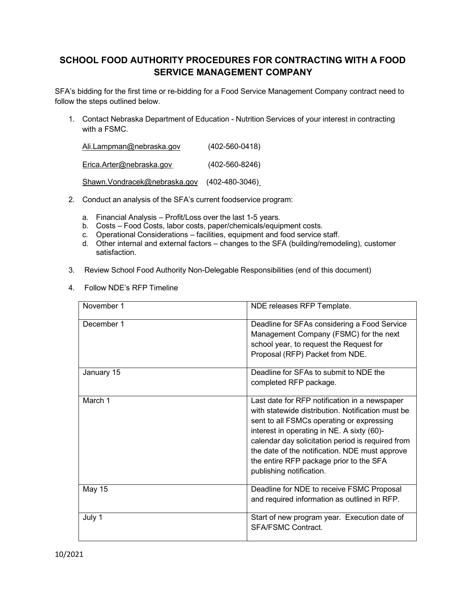# **SCHOOL FOOD AUTHORITY PROCEDURES FOR CONTRACTING WITH A FOOD SERVICE MANAGEMENT COMPANY**

SFA's bidding for the first time or re-bidding for a Food Service Management Company contract need to follow the steps outlined below.

1. Contact Nebraska Department of Education - Nutrition Services of your interest in contracting with a FSMC.

| Ali.Lampman@nebraska.gov     | $(402 - 560 - 0418)$ |
|------------------------------|----------------------|
| Erica.Arter@nebraska.gov     | $(402 - 560 - 8246)$ |
| Shawn.Vondracek@nebraska.gov | $(402 - 480 - 3046)$ |

- 2. Conduct an analysis of the SFA's current foodservice program:
	- a. Financial Analysis Profit/Loss over the last 1-5 years.
	- b. Costs Food Costs, labor costs, paper/chemicals/equipment costs.
	- c. Operational Considerations facilities, equipment and food service staff.
	- d. Other internal and external factors changes to the SFA (building/remodeling), customer satisfaction.
- 3. Review School Food Authority Non-Delegable Responsibilities (end of this document)
- 4. Follow NDE's RFP Timeline

| November 1 | NDE releases RFP Template.                                                                                                                                                                                                                                                                                                                                                  |
|------------|-----------------------------------------------------------------------------------------------------------------------------------------------------------------------------------------------------------------------------------------------------------------------------------------------------------------------------------------------------------------------------|
| December 1 | Deadline for SFAs considering a Food Service<br>Management Company (FSMC) for the next<br>school year, to request the Request for<br>Proposal (RFP) Packet from NDE.                                                                                                                                                                                                        |
| January 15 | Deadline for SFAs to submit to NDE the<br>completed RFP package.                                                                                                                                                                                                                                                                                                            |
| March 1    | Last date for RFP notification in a newspaper<br>with statewide distribution. Notification must be<br>sent to all FSMCs operating or expressing<br>interest in operating in NE. A sixty (60)-<br>calendar day solicitation period is required from<br>the date of the notification. NDE must approve<br>the entire RFP package prior to the SFA<br>publishing notification. |
| May 15     | Deadline for NDE to receive FSMC Proposal<br>and required information as outlined in RFP.                                                                                                                                                                                                                                                                                   |
| July 1     | Start of new program year. Execution date of<br><b>SFA/FSMC Contract.</b>                                                                                                                                                                                                                                                                                                   |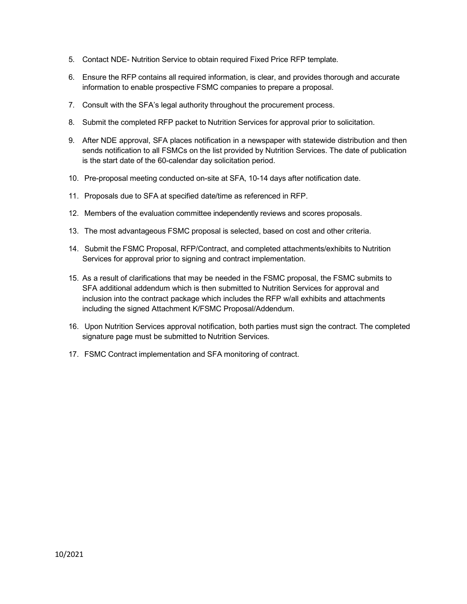- 5. Contact NDE- Nutrition Service to obtain required Fixed Price RFP template.
- 6. Ensure the RFP contains all required information, is clear, and provides thorough and accurate information to enable prospective FSMC companies to prepare a proposal.
- 7. Consult with the SFA's legal authority throughout the procurement process.
- 8. Submit the completed RFP packet to Nutrition Services for approval prior to solicitation.
- 9. After NDE approval, SFA places notification in a newspaper with statewide distribution and then sends notification to all FSMCs on the list provided by Nutrition Services. The date of publication is the start date of the 60-calendar day solicitation period.
- 10. Pre-proposal meeting conducted on-site at SFA, 10-14 days after notification date.
- 11. Proposals due to SFA at specified date/time as referenced in RFP.
- 12. Members of the evaluation committee independently reviews and scores proposals.
- 13. The most advantageous FSMC proposal is selected, based on cost and other criteria.
- 14. Submit the FSMC Proposal, RFP/Contract, and completed attachments/exhibits to Nutrition Services for approval prior to signing and contract implementation.
- 15. As a result of clarifications that may be needed in the FSMC proposal, the FSMC submits to SFA additional addendum which is then submitted to Nutrition Services for approval and inclusion into the contract package which includes the RFP w/all exhibits and attachments including the signed Attachment K/FSMC Proposal/Addendum.
- 16. Upon Nutrition Services approval notification, both parties must sign the contract. The completed signature page must be submitted to Nutrition Services.
- 17. FSMC Contract implementation and SFA monitoring of contract.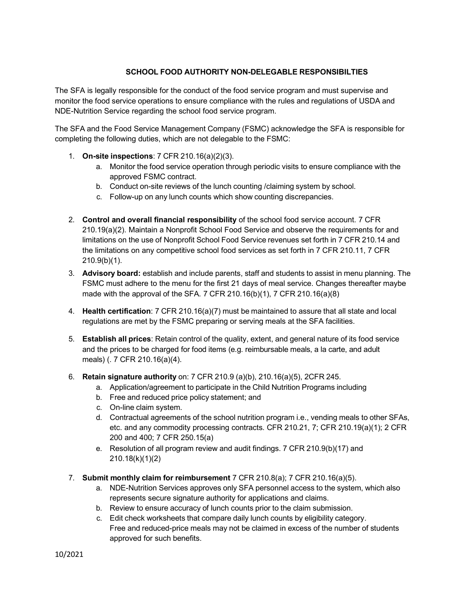## **SCHOOL FOOD AUTHORITY NON-DELEGABLE RESPONSIBILTIES**

The SFA is legally responsible for the conduct of the food service program and must supervise and monitor the food service operations to ensure compliance with the rules and regulations of USDA and NDE-Nutrition Service regarding the school food service program.

The SFA and the Food Service Management Company (FSMC) acknowledge the SFA is responsible for completing the following duties, which are not delegable to the FSMC:

- 1. **On-site inspections**: 7 CFR 210.16(a)(2)(3).
	- a. Monitor the food service operation through periodic visits to ensure compliance with the approved FSMC contract.
	- b. Conduct on-site reviews of the lunch counting /claiming system by school.
	- c. Follow-up on any lunch counts which show counting discrepancies.
- 2. **Control and overall financial responsibility** of the school food service account. 7 CFR 210.19(a)(2). Maintain a Nonprofit School Food Service and observe the requirements for and limitations on the use of Nonprofit School Food Service revenues set forth in 7 CFR 210.14 and the limitations on any competitive school food services as set forth in 7 CFR 210.11, 7 CFR 210.9(b)(1).
- 3. **Advisory board:** establish and include parents, staff and students to assist in menu planning. The FSMC must adhere to the menu for the first 21 days of meal service. Changes thereafter maybe made with the approval of the SFA. 7 CFR 210.16(b)(1), 7 CFR 210.16(a)(8)
- 4. **Health certification**: 7 CFR 210.16(a)(7) must be maintained to assure that all state and local regulations are met by the FSMC preparing or serving meals at the SFA facilities.
- 5. **Establish all prices**: Retain control of the quality, extent, and general nature of its food service and the prices to be charged for food items (e.g. reimbursable meals, a la carte, and adult meals) (. 7 CFR 210.16(a)(4).
- 6. **Retain signature authority** on: 7 CFR 210.9 (a)(b), 210.16(a)(5), 2CFR 245.
	- a. Application/agreement to participate in the Child Nutrition Programs including
	- b. Free and reduced price policy statement; and
	- c. On-line claim system.
	- d. Contractual agreements of the school nutrition program i.e., vending meals to other SFAs, etc. and any commodity processing contracts. CFR 210.21, 7; CFR 210.19(a)(1); 2 CFR 200 and 400; 7 CFR 250.15(a)
	- e. Resolution of all program review and audit findings. 7 CFR 210.9(b)(17) and 210.18(k)(1)(2)
- 7. **Submit monthly claim for reimbursement** 7 CFR 210.8(a); 7 CFR 210.16(a)(5).
	- a. NDE-Nutrition Services approves only SFA personnel access to the system, which also represents secure signature authority for applications and claims.
	- b. Review to ensure accuracy of lunch counts prior to the claim submission.
	- c. Edit check worksheets that compare daily lunch counts by eligibility category. Free and reduced-price meals may not be claimed in excess of the number of students approved for such benefits.